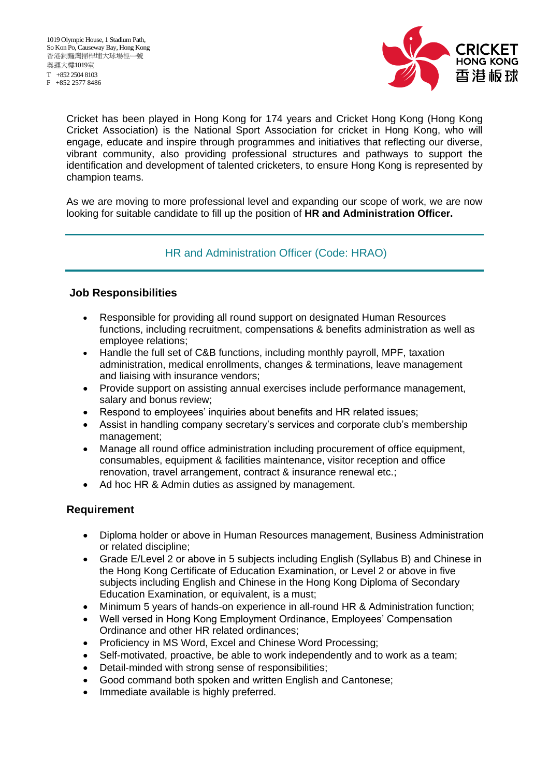F +852 2577 8486



Cricket has been played in Hong Kong for 174 years and Cricket Hong Kong (Hong Kong Cricket Association) is the National Sport Association for cricket in Hong Kong, who will engage, educate and inspire through programmes and initiatives that reflecting our diverse, vibrant community, also providing professional structures and pathways to support the identification and development of talented cricketers, to ensure Hong Kong is represented by champion teams.

As we are moving to more professional level and expanding our scope of work, we are now looking for suitable candidate to fill up the position of **HR and Administration Officer.**

## HR and Administration Officer (Code: HRAO)

## **Job Responsibilities**

- Responsible for providing all round support on designated Human Resources functions, including recruitment, compensations & benefits administration as well as employee relations;
- Handle the full set of C&B functions, including monthly payroll, MPF, taxation administration, medical enrollments, changes & terminations, leave management and liaising with insurance vendors;
- Provide support on assisting annual exercises include performance management, salary and bonus review;
- Respond to employees' inquiries about benefits and HR related issues;
- Assist in handling company secretary's services and corporate club's membership management;
- Manage all round office administration including procurement of office equipment, consumables, equipment & facilities maintenance, visitor reception and office renovation, travel arrangement, contract & insurance renewal etc.;
- Ad hoc HR & Admin duties as assigned by management.

## **Requirement**

- Diploma holder or above in Human Resources management, Business Administration or related discipline;
- Grade E/Level 2 or above in 5 subjects including English (Syllabus B) and Chinese in the Hong Kong Certificate of Education Examination, or Level 2 or above in five subjects including English and Chinese in the Hong Kong Diploma of Secondary Education Examination, or equivalent, is a must;
- Minimum 5 years of hands-on experience in all-round HR & Administration function;
- Well versed in Hong Kong Employment Ordinance, Employees' Compensation Ordinance and other HR related ordinances;
- Proficiency in MS Word, Excel and Chinese Word Processing;
- Self-motivated, proactive, be able to work independently and to work as a team;
- Detail-minded with strong sense of responsibilities;
- Good command both spoken and written English and Cantonese;
- Immediate available is highly preferred.